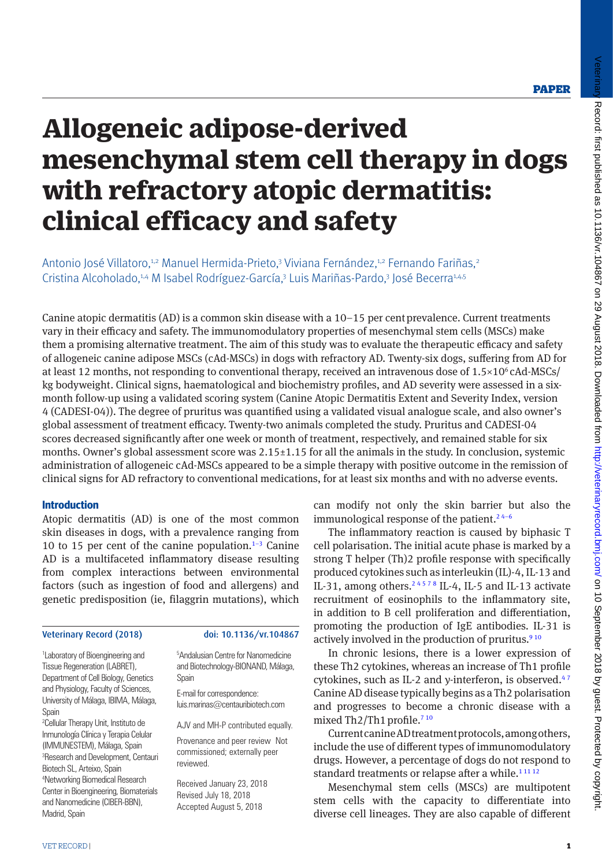Veterinar

# **Allogeneic adipose-derived mesenchymal stem cell therapy in dogs with refractory atopic dermatitis: clinical efficacy and safety**

Antonio José Villatoro,<sup>1,2</sup> Manuel Hermida-Prieto,<sup>3</sup> Viviana Fernández,<sup>1,2</sup> Fernando Fariñas,<sup>2</sup> Cristina Alcoholado,<sup>1,4</sup> M Isabel Rodríguez-García,<sup>3</sup> Luis Mariñas-Pardo,<sup>3</sup> José Becerra<sup>1,4,5</sup>

Canine atopic dermatitis (AD) is a common skin disease with a  $10-15$  per cent prevalence. Current treatments vary in their efficacy and safety. The immunomodulatory properties of mesenchymal stem cells (MSCs) make them a promising alternative treatment. The aim of this study was to evaluate the therapeutic efficacy and safety of allogeneic canine adipose MSCs (cAd-MSCs) in dogs with refractory AD. Twenty-six dogs, suffering from AD for at least 12 months, not responding to conventional therapy, received an intravenous dose of  $1.5 \times 10^6$  cAd-MSCs/ kg bodyweight. Clinical signs, haematological and biochemistry profiles, and AD severity were assessed in a sixmonth follow-up using a validated scoring system (Canine Atopic Dermatitis Extent and Severity Index, version 4 (CADESI-04)). The degree of pruritus was quantified using a validated visual analogue scale, and also owner's global assessment of treatment efficacy. Twenty-two animals completed the study. Pruritus and CADESI-04 scores decreased significantly after one week or month of treatment, respectively, and remained stable for six months. Owner's global assessment score was 2.15±1.15 for all the animals in the study. In conclusion, systemic administration of allogeneic cAd-MSCs appeared to be a simple therapy with positive outcome in the remission of clinical signs for AD refractory to conventional medications, for at least six months and with no adverse events.

# **Introduction**

Atopic dermatitis (AD) is one of the most common skin diseases in dogs, with a prevalence ranging from 10 to 15 per cent of the canine population. $1-3$  Canine AD is a multifaceted inflammatory disease resulting from complex interactions between environmental factors (such as ingestion of food and allergens) and genetic predisposition (ie, filaggrin mutations), which

# Veterinary Record (2018) doi: 10.1136/vr.104867

1 Laboratory of Bioengineering and Tissue Regeneration (LABRET), Department of Cell Biology, Genetics and Physiology, Faculty of Sciences, University of Málaga, IBIMA, Málaga, Spain

2 Cellular Therapy Unit, Instituto de Inmunología Clínica y Terapia Celular (IMMUNESTEM), Málaga, Spain <sup>3</sup>Research and Development, Centauri Biotech SL, Arteixo, Spain 4 Networking Biomedical Research Center in Bioengineering, Biomaterials and Nanomedicine (CIBER-BBN), Madrid, Spain

5 Andalusian Centre for Nanomedicine and Biotechnology-BIONAND, Málaga, Spain

E-mail for correspondence: luis.marinas@centauribiotech.com

AJV and MH-P contributed equally.

Provenance and peer review Not commissioned; externally peer reviewed.

Received January 23, 2018 Revised July 18, 2018 Accepted August 5, 2018

can modify not only the skin barrier but also the immunological response of the patient.<sup>24-6</sup>

The inflammatory reaction is caused by biphasic T cell polarisation. The initial acute phase is marked by a strong T helper (Th)2 profile response with specifically produced cytokines such as interleukin (IL)-4, IL-13 and IL-31, among others.<sup>24578</sup> IL-4, IL-5 and IL-13 activate recruitment of eosinophils to the inflammatory site, in addition to B cell proliferation and differentiation, promoting the production of IgE antibodies. IL-31 is actively involved in the production of pruritus. $910$ 

In chronic lesions, there is a lower expression of these Th2 cytokines, whereas an increase of Th1 profile cytokines, such as IL-2 and y-interferon, is observed.<sup>47</sup> Canine AD disease typically begins as a Th2 polarisation and progresses to become a chronic disease with a mixed Th2/Th1 profile.<sup>710</sup>

Current canine AD treatment protocols, among others, include the use of different types of immunomodulatory drugs. However, a percentage of dogs do not respond to standard treatments or relapse after a while.<sup>11112</sup>

Mesenchymal stem cells (MSCs) are multipotent stem cells with the capacity to differentiate into diverse cell lineages. They are also capable of different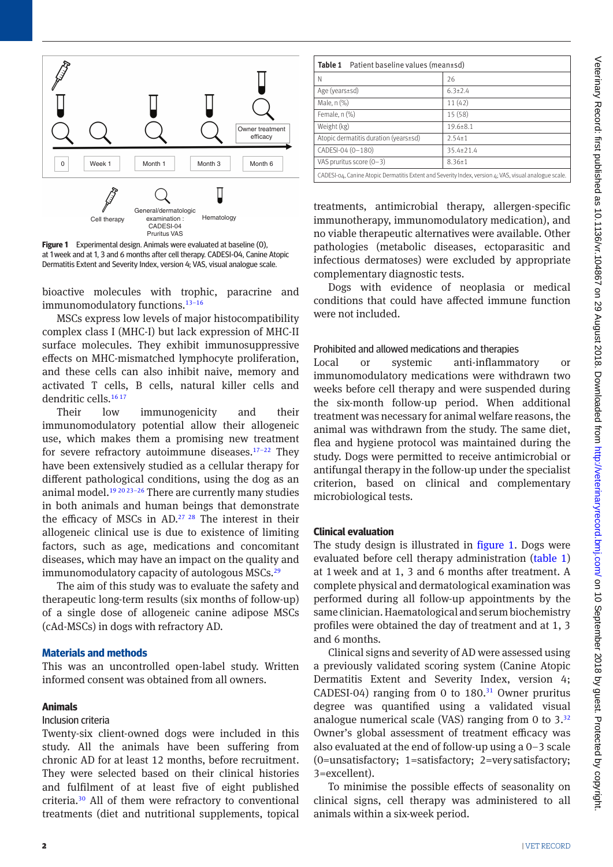

<span id="page-1-0"></span>**Figure 1** Experimental design. Animals were evaluated at baseline (0), at 1week and at 1, 3 and 6 months after cell therapy. CADESI-04, Canine Atopic Dermatitis Extent and Severity Index, version 4; VAS, visual analogue scale.

bioactive molecules with trophic, paracrine and immunomodulatory functions.<sup>13-16</sup>

MSCs express low levels of major histocompatibility complex class I (MHC-I) but lack expression of MHC-II surface molecules. They exhibit immunosuppressive effects on MHC-mismatched lymphocyte proliferation, and these cells can also inhibit naive, memory and activated T cells, B cells, natural killer cells and dendritic cells.<sup>[16 17](#page-6-4)</sup>

Their low immunogenicity and their immunomodulatory potential allow their allogeneic use, which makes them a promising new treatment for severe refractory autoimmune diseases. $17-22$  They have been extensively studied as a cellular therapy for different pathological conditions, using the dog as an animal model[.19 20 23–26](#page-6-6) There are currently many studies in both animals and human beings that demonstrate the efficacy of MSCs in AD.[27 28](#page-6-7) The interest in their allogeneic clinical use is due to existence of limiting factors, such as age, medications and concomitant diseases, which may have an impact on the quality and immunomodulatory capacity of autologous MSCs.<sup>[29](#page-6-8)</sup>

The aim of this study was to evaluate the safety and therapeutic long-term results (six months of follow-up) of a single dose of allogeneic canine adipose MSCs (cAd-MSCs) in dogs with refractory AD.

#### **Materials and methods**

This was an uncontrolled open-label study. Written informed consent was obtained from all owners.

# **Animals**

# Inclusion criteria

Twenty-six client-owned dogs were included in this study. All the animals have been suffering from chronic AD for at least 12 months, before recruitment. They were selected based on their clinical histories and fulfilment of at least five of eight published criteria[.30](#page-6-9) All of them were refractory to conventional treatments (diet and nutritional supplements, topical

<span id="page-1-1"></span>

| Table 1<br>Patient baseline values (mean±sd)                                                          |                |  |  |  |  |  |  |
|-------------------------------------------------------------------------------------------------------|----------------|--|--|--|--|--|--|
| Ν                                                                                                     | 26             |  |  |  |  |  |  |
| Age ( $years±sd$ )                                                                                    | $6.3 \pm 2.4$  |  |  |  |  |  |  |
| Male, n (%)                                                                                           | 11(42)         |  |  |  |  |  |  |
| Female, $n$ $%$                                                                                       | 15(58)         |  |  |  |  |  |  |
| Weight (kg)                                                                                           | $19.6 \pm 8.1$ |  |  |  |  |  |  |
| Atopic dermatitis duration (years±sd)                                                                 | $2.54 \pm 1$   |  |  |  |  |  |  |
| CADESI-04 (0-180)                                                                                     | 35.4±21.4      |  |  |  |  |  |  |
| VAS pruritus score $(0-3)$                                                                            | $8.36 \pm 1$   |  |  |  |  |  |  |
| CADESI-04, Canine Atopic Dermatitis Extent and Severity Index, version 4; VAS, visual analogue scale. |                |  |  |  |  |  |  |

treatments, antimicrobial therapy, allergen-specific immunotherapy, immunomodulatory medication), and no viable therapeutic alternatives were available. Other pathologies (metabolic diseases, ectoparasitic and infectious dermatoses) were excluded by appropriate complementary diagnostic tests.

Dogs with evidence of neoplasia or medical conditions that could have affected immune function were not included.

#### Prohibited and allowed medications and therapies

Local or systemic anti-inflammatory or immunomodulatory medications were withdrawn two weeks before cell therapy and were suspended during the six-month follow-up period. When additional treatment was necessary for animal welfare reasons, the animal was withdrawn from the study. The same diet, flea and hygiene protocol was maintained during the study. Dogs were permitted to receive antimicrobial or antifungal therapy in the follow-up under the specialist criterion, based on clinical and complementary microbiological tests.

#### **Clinical evaluation**

The study design is illustrated in figure 1. Dogs were evaluated before cell therapy administration [\(table 1\)](#page-1-1) at 1week and at 1, 3 and 6 months after treatment. A complete physical and dermatological examination was performed during all follow-up appointments by the same clinician. Haematological and serum biochemistry profiles were obtained the day of treatment and at 1, 3 and 6 months.

Clinical signs and severity of AD were assessed using a previously validated scoring system (Canine Atopic Dermatitis Extent and Severity Index, version 4; CADESI-04) ranging from 0 to  $180$ .<sup>31</sup> Owner pruritus degree was quantified using a validated visual analogue numerical scale (VAS) ranging from 0 to  $3^{32}$ Owner's global assessment of treatment efficacy was also evaluated at the end of follow-up using a 0–3 scale (0=unsatisfactory; 1=satisfactory; 2=verysatisfactory; 3=excellent).

To minimise the possible effects of seasonality on clinical signs, cell therapy was administered to all animals within a six-week period.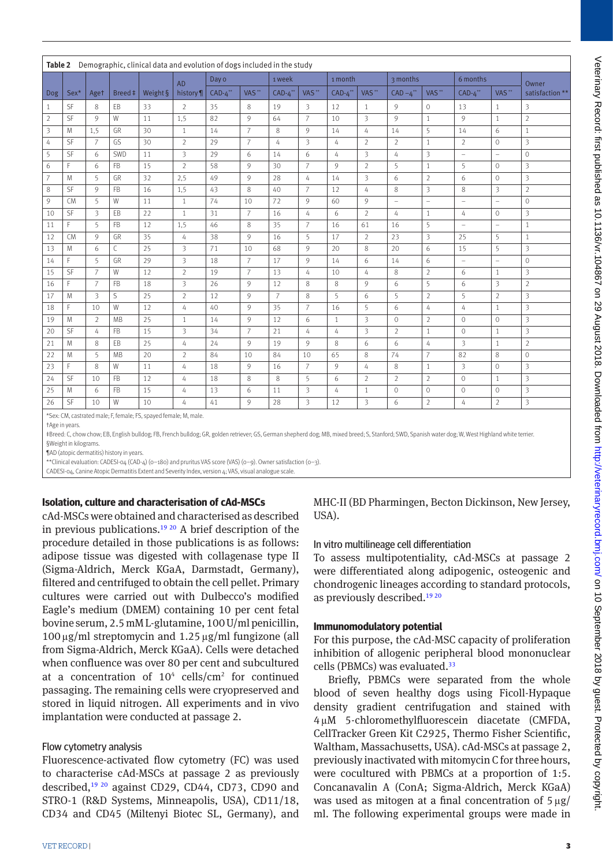<span id="page-2-0"></span>

|                | Table 2 Demographic, clinical data and evolution of dogs included in the study |                |           |            |                         |            |                   |                |                   |              |                         |                          |                     |                          |                          |                |
|----------------|--------------------------------------------------------------------------------|----------------|-----------|------------|-------------------------|------------|-------------------|----------------|-------------------|--------------|-------------------------|--------------------------|---------------------|--------------------------|--------------------------|----------------|
|                |                                                                                |                |           | <b>AD</b>  | Day o                   |            | 1 week            |                | 1 month           |              | 3 months                |                          | 6 months            |                          | Owner                    |                |
| <b>Dog</b>     | Breed ‡<br>Sex*<br>Aget                                                        | Weight §       | history ¶ | $CAD-4$ ** | VAS <sup>**</sup>       | $CAD-4$ ** | VAS <sup>**</sup> | $CAD-4$ **     | VAS <sup>**</sup> | $CAD - 4$ ** | VAS <sup>**</sup>       | $CAD-4$ **               | $VAS$ <sup>**</sup> | satisfaction **          |                          |                |
| $\mathbf{1}$   | <b>SF</b>                                                                      | 8              | EB        | 33         | $\overline{2}$          | 35         | 8                 | 19             | 3                 | 12           | $\mathbf{1}$            | 9                        | $\circ$             | 13                       | 1                        | 3              |
| $\overline{2}$ | SF                                                                             | 9              | W         | 11         | 1,5                     | 82         | 9                 | 64             | $\overline{7}$    | 10           | 3                       | 9                        | $\mathbf{1}$        | 9                        | 1                        | $\overline{2}$ |
| 3              | M                                                                              | 1,5            | GR        | 30         | $\mathbf{1}$            | 14         | $\overline{7}$    | 8              | 9                 | 14           | 4                       | 14                       | 5                   | 14                       | 6                        | $\mathbf{1}$   |
| 4              | SF                                                                             | $\overline{7}$ | GS        | 30         | $\overline{2}$          | 29         | $\overline{7}$    | 4              | 3                 | 4            | $\overline{2}$          | $\overline{2}$           | $\mathbf{1}$        | $\overline{2}$           | $\circ$                  | 3              |
| 5              | SF                                                                             | 6              | SWD       | 11         | $\overline{\mathbf{3}}$ | 29         | 6                 | 14             | 6                 | 4            | 3                       | $\overline{4}$           | 3                   | $\overline{a}$           | $\overline{a}$           | $\mathbf 0$    |
| 6              | F                                                                              | 6              | <b>FB</b> | 15         | $\overline{2}$          | 58         | 9                 | 30             | $\overline{7}$    | 9            | $\overline{2}$          | 5                        | $\mathbf{1}$        | 5                        | $\mathbf{0}$             | 3              |
| $\overline{7}$ | M                                                                              | 5              | GR        | 32         | 2,5                     | 49         | 9                 | 28             | 4                 | 14           | 3                       | 6                        | $\overline{2}$      | 6                        | $\Omega$                 | 3              |
| 8              | SF                                                                             | 9              | <b>FB</b> | 16         | 1,5                     | 43         | 8                 | 40             | $\overline{7}$    | 12           | 4                       | 8                        | 3                   | 8                        | 3                        | $\overline{2}$ |
| 9              | <b>CM</b>                                                                      | 5              | W         | 11         | $\mathbf{1}$            | 74         | 10                | 72             | 9                 | 60           | 9                       | $\overline{\phantom{m}}$ | ÷                   | $\overline{\phantom{m}}$ | $\overline{\phantom{a}}$ | $\mathbf{0}$   |
| 10             | SF                                                                             | 3              | EB        | 22         | $\mathbf{1}$            | 31         | $\overline{7}$    | 16             | 4                 | 6            | $\overline{2}$          | $\overline{4}$           | $\mathbf{1}$        | 4                        | $\circ$                  | 3              |
| 11             | F                                                                              | 5              | <b>FB</b> | 12         | 1,5                     | 46         | 8                 | 35             | 7                 | 16           | 61                      | 16                       | 5                   | $\equiv$                 | $\overline{a}$           | $\mathbf{1}$   |
| 12             | <b>CM</b>                                                                      | 9              | GR        | 35         | 4                       | 38         | 9                 | 16             | 5                 | 17           | $\overline{2}$          | 23                       | 3                   | 25                       | 5                        | $\mathbf{1}$   |
| 13             | M                                                                              | 6              | C         | 25         | $\overline{\mathbf{3}}$ | 71         | 10                | 68             | 9                 | 20           | 8                       | 20                       | 6                   | 15                       | 5                        | 3              |
| 14             | F                                                                              | 5              | GR        | 29         | 3                       | 18         | $\overline{7}$    | 17             | 9                 | 14           | 6                       | 14                       | 6                   | $\bar{ }$                | $\overline{\phantom{a}}$ | $\Omega$       |
| 15             | SF                                                                             | $\overline{7}$ | W         | 12         | $\overline{2}$          | 19         | $\overline{7}$    | 13             | 4                 | 10           | 4                       | 8                        | $\overline{2}$      | 6                        | 1                        | 3              |
| 16             | F                                                                              | $\overline{7}$ | <b>FB</b> | 18         | $\overline{3}$          | 26         | 9                 | 12             | 8                 | 8            | 9                       | 6                        | 5                   | 6                        | 3                        | $\overline{2}$ |
| 17             | M                                                                              | 3              | S         | 25         | $\overline{2}$          | 12         | 9                 | $\overline{7}$ | 8                 | 5            | 6                       | 5                        | $\overline{2}$      | 5                        | $\overline{2}$           | 3              |
| 18             | F                                                                              | 10             | W         | 12         | 4                       | 40         | 9                 | 35             | $\overline{7}$    | 16           | 5                       | 6                        | 4                   | 4                        | 1                        | 3              |
| 19             | M                                                                              | $\overline{2}$ | MB        | 25         | $\mathbf{1}$            | 14         | 9                 | 12             | 6                 | $\mathbf{1}$ | 3                       | $\circ$                  | $\overline{2}$      | $\circ$                  | $\circ$                  | 3              |
| 20             | SF                                                                             | 4              | <b>FB</b> | 15         | $\overline{\mathbf{3}}$ | 34         | $\overline{7}$    | 21             | $\overline{4}$    | 4            | $\overline{\mathbf{3}}$ | $\overline{2}$           | $\mathbf{1}$        | $\circ$                  | $\mathbf{1}$             | 3              |
| 21             | M                                                                              | 8              | EB        | 25         | 4                       | 24         | 9                 | 19             | 9                 | 8            | 6                       | 6                        | 4                   | 3                        | 1                        | $\overline{2}$ |
| 22             | M                                                                              | 5              | <b>MB</b> | 20         | $\overline{2}$          | 84         | 10                | 84             | 10                | 65           | 8                       | 74                       | $\overline{7}$      | 82                       | 8                        | $\mathbf 0$    |
| 23             | F                                                                              | 8              | W         | 11         | 4                       | 18         | 9                 | 16             | 7                 | 9            | 4                       | 8                        | $\mathbf{1}$        | 3                        | $\circ$                  | 3              |
| 24             | SF                                                                             | 10             | <b>FB</b> | 12         | 4                       | 18         | 8                 | 8              | 5                 | 6            | $\overline{2}$          | $\overline{2}$           | $\overline{2}$      | $\circ$                  | $\overline{1}$           | 3              |
| 25             | M                                                                              | 6              | <b>FB</b> | 15         | 4                       | 13         | 6                 | 11             | 3                 | 4            | $\mathbf{1}$            | $\mathbf{0}$             | $\Omega$            | $\Omega$                 | $\Omega$                 | 3              |
| 26             | SF                                                                             | 10             | W         | 10         | 4                       | 41         | 9                 | 28             | 3                 | 12           | 3                       | 6                        | $\overline{2}$      | 4                        | $\overline{2}$           | 3              |

\*Sex: CM, castrated male; F, female; FS, spayed female; M, male.

†Age in years.

‡Breed: C, chow chow; EB, English bulldog; FB, French bulldog; GR, golden retriever; GS, German shepherd dog; MB, mixed breed; S, Stanford; SWD, Spanish water dog; W, West Highland white terrier. §Weight in kilograms.

¶AD (atopic dermatitis) history in years.

\*\*Clinical evaluation: CADESI-04 (CAD-4) (0–180) and pruritus VAS score (VAS) (0–9). Owner satisfaction (0–3).

CADESI-04, Canine Atopic Dermatitis Extent and Severity Index, version 4; VAS, visual analogue scale.

# **Isolation, culture and characterisation of cAd-MSCs**

cAd-MSCs were obtained and characterised as described in previous publications.[19 20](#page-6-6) A brief description of the procedure detailed in those publications is as follows: adipose tissue was digested with collagenase type II (Sigma-Aldrich, Merck KGaA, Darmstadt, Germany), filtered and centrifuged to obtain the cell pellet. Primary cultures were carried out with Dulbecco's modified Eagle's medium (DMEM) containing 10 per cent fetal bovine serum, 2.5mM L-glutamine, 100U/ml penicillin,  $100 \,\mathrm{\upmu}\mathrm{g/mL}$  streptomycin and  $1.25 \,\mathrm{\upmu}\mathrm{g/mL}$  fungizone (all from Sigma-Aldrich, Merck KGaA). Cells were detached when confluence was over 80 per cent and subcultured at a concentration of  $10^4$  cells/cm<sup>2</sup> for continued passaging. The remaining cells were cryopreserved and stored in liquid nitrogen. All experiments and in vivo implantation were conducted at passage 2.

# Flow cytometry analysis

Fluorescence-activated flow cytometry (FC) was used to characterise cAd-MSCs at passage 2 as previously described,<sup>19 20</sup> against CD29, CD44, CD73, CD90 and STRO-1 (R&D Systems, Minneapolis, USA), CD11/18, CD34 and CD45 (Miltenyi Biotec SL, Germany), and

MHC-II (BD Pharmingen, Becton Dickinson, New Jersey, USA).

#### In vitro multilineage cell differentiation

To assess multipotentiality, cAd-MSCs at passage 2 were differentiated along adipogenic, osteogenic and chondrogenic lineages according to standard protocols, as previously described. $1920$ 

#### **Immunomodulatory potential**

For this purpose, the cAd-MSC capacity of proliferation inhibition of allogenic peripheral blood mononuclear cells (PBMCs) was evaluated.<sup>[33](#page-6-12)</sup>

Briefly, PBMCs were separated from the whole blood of seven healthy dogs using Ficoll-Hypaque density gradient centrifugation and stained with 4µM 5-chloromethylfluorescein diacetate (CMFDA, CellTracker Green Kit C2925, Thermo Fisher Scientific, Waltham, Massachusetts, USA). cAd-MSCs at passage 2, previously inactivated with mitomycin C for three hours, were cocultured with PBMCs at a proportion of 1:5. Concanavalin A (ConA; Sigma-Aldrich, Merck KGaA) was used as mitogen at a final concentration of  $5 \mu g$ ml. The following experimental groups were made in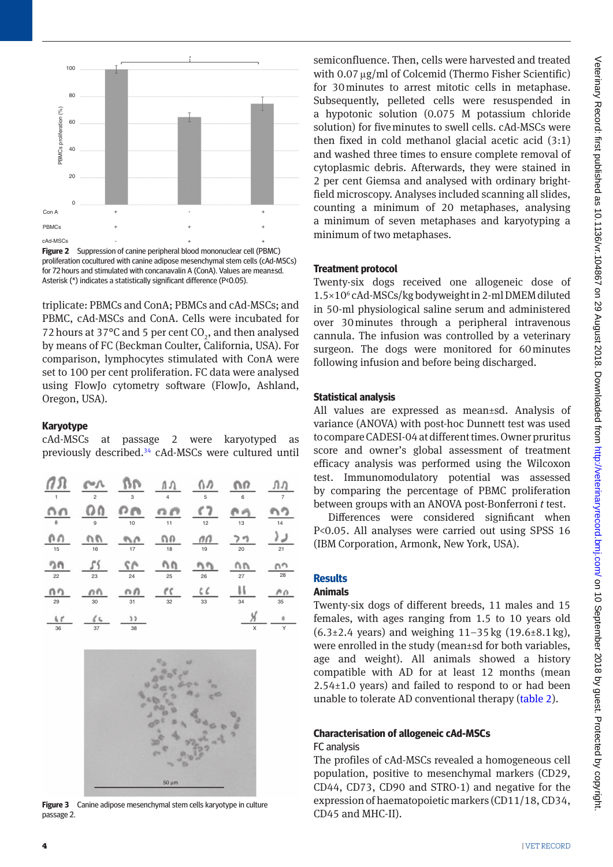

<span id="page-3-0"></span>**Figure 2** Suppression of canine peripheral blood mononuclear cell (PBMC) proliferation cocultured with canine adipose mesenchymal stem cells (cAd-MSCs) for 72 hours and stimulated with concanavalin A (ConA). Values are mean±sd. Asterisk (\*) indicates a statistically significant difference (P<0.05).

triplicate: PBMCs and ConA; PBMCs and cAd-MSCs; and PBMC, cAd-MSCs and ConA. Cells were incubated for 72 hours at 37 $\rm ^{o}C$  and 5 per cent  $\rm CO_{2}$ , and then analysed by means of FC (Beckman Coulter, California, USA). For comparison, lymphocytes stimulated with ConA were set to 100 per cent proliferation. FC data were analysed using FlowJo cytometry software (FlowJo, Ashland, Oregon, USA).

# **Karyotype**

| cAd-MSCs at passage 2 were karyotyped as                         |  |  |  |  |
|------------------------------------------------------------------|--|--|--|--|
| previously described. <sup>34</sup> cAd-MSCs were cultured until |  |  |  |  |

| 1                    | $\overline{c}$ | 3        | $\overline{\mathbf{4}}$ | 5        | 6       | $\overline{7}$          |
|----------------------|----------------|----------|-------------------------|----------|---------|-------------------------|
| 8                    | 9              | 10       | 11                      | 12       | 13      | 14                      |
| 15                   | 16             | €<br>17  | Ω<br>18                 | пп<br>19 | 20      | 21                      |
| 22                   | 23             | 24       | 25                      | 26       | 27      | 28                      |
| nn<br>29             | n<br>a v<br>30 | п<br>31  | ΄ζ<br>32                | 33       | A<br>34 | $\wedge$ $\wedge$<br>35 |
| 6 <sub>c</sub><br>36 | L<br>37        | 1)<br>38 |                         |          | Χ       | o<br>Y                  |



<span id="page-3-1"></span>**Figure 3** Canine adipose mesenchymal stem cells karyotype in culture passage 2.

semiconfluence. Then, cells were harvested and treated with  $0.07 \,\mathrm{\upmu g/ml}$  of Colcemid (Thermo Fisher Scientific) for 30minutes to arrest mitotic cells in metaphase. Subsequently, pelleted cells were resuspended in a hypotonic solution (0.075 M potassium chloride solution) for fiveminutes to swell cells. cAd-MSCs were then fixed in cold methanol glacial acetic acid (3:1) and washed three times to ensure complete removal of cytoplasmic debris. Afterwards, they were stained in 2 per cent Giemsa and analysed with ordinary brightfield microscopy. Analyses included scanning all slides, counting a minimum of 20 metaphases, analysing a minimum of seven metaphases and karyotyping a minimum of two metaphases.

# **Treatment protocol**

Twenty-six dogs received one allogeneic dose of 1.5×106 cAd-MSCs/kg bodyweight in 2-ml DMEM diluted in 50-ml physiological saline serum and administered over 30minutes through a peripheral intravenous cannula. The infusion was controlled by a veterinary surgeon. The dogs were monitored for 60minutes following infusion and before being discharged.

# **Statistical analysis**

All values are expressed as mean±sd. Analysis of variance (ANOVA) with post-hoc Dunnett test was used to compare CADESI-04 at different times. Owner pruritus score and owner's global assessment of treatment efficacy analysis was performed using the Wilcoxon test. Immunomodulatory potential was assessed by comparing the percentage of PBMC proliferation between groups with an ANOVA post-Bonferroni *t* test.

Differences were considered significant when P<0.05. All analyses were carried out using SPSS 16 (IBM Corporation, Armonk, New York, USA).

# **Results**

# **Animals**

Twenty-six dogs of different breeds, 11 males and 15 females, with ages ranging from 1.5 to 10 years old  $(6.3\pm 2.4 \text{ years})$  and weighing 11–35 kg  $(19.6\pm 8.1 \text{ kg})$ , were enrolled in the study (mean±sd for both variables, age and weight). All animals showed a history compatible with AD for at least 12 months (mean 2.54±1.0 years) and failed to respond to or had been unable to tolerate AD conventional therapy [\(table 2](#page-2-0)).

# **Characterisation of allogeneic cAd-MSCs**

# FC analysis

The profiles of cAd-MSCs revealed a homogeneous cell population, positive to mesenchymal markers (CD29, CD44, CD73, CD90 and STRO-1) and negative for the expression of haematopoietic markers (CD11/18, CD34, CD45 and MHC-II).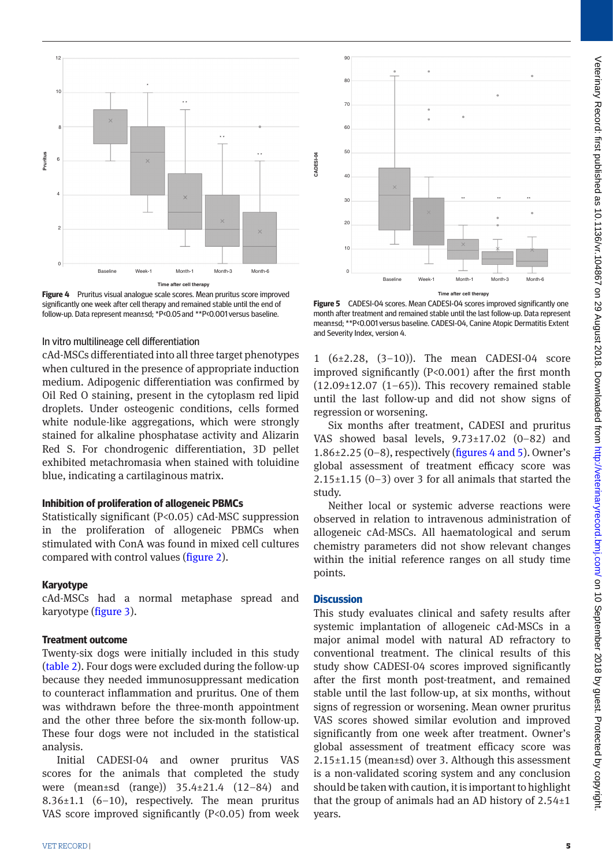

<span id="page-4-0"></span>**Figure 4** Pruritus visual analogue scale scores. Mean pruritus score improved significantly one week after cell therapy and remained stable until the end of follow-up. Data represent mean±sd; \*P<0.05 and \*\*P<0.001 versus baseline.

#### In vitro multilineage cell differentiation

cAd-MSCs differentiated into all three target phenotypes when cultured in the presence of appropriate induction medium. Adipogenic differentiation was confirmed by Oil Red O staining, present in the cytoplasm red lipid droplets. Under osteogenic conditions, cells formed white nodule-like aggregations, which were strongly stained for alkaline phosphatase activity and Alizarin Red S. For chondrogenic differentiation, 3D pellet exhibited metachromasia when stained with toluidine blue, indicating a cartilaginous matrix.

# **Inhibition of proliferation of allogeneic PBMCs**

Statistically significant (P<0.05) cAd-MSC suppression in the proliferation of allogeneic PBMCs when stimulated with ConA was found in mixed cell cultures compared with control values ([figure 2\)](#page-3-0).

#### **Karyotype**

cAd-MSCs had a normal metaphase spread and karyotype ([figure 3\)](#page-3-1).

#### **Treatment outcome**

Twenty-six dogs were initially included in this study [\(table 2](#page-2-0)). Four dogs were excluded during the follow-up because they needed immunosuppressant medication to counteract inflammation and pruritus. One of them was withdrawn before the three-month appointment and the other three before the six-month follow-up. These four dogs were not included in the statistical analysis.

Initial CADESI-04 and owner pruritus VAS scores for the animals that completed the study were (mean±sd (range)) 35.4±21.4 (12–84) and 8.36 $\pm$ 1.1 (6–10), respectively. The mean pruritus VAS score improved significantly  $(P<0.05)$  from week



**Figure 5** CADESI-04 scores. Mean CADESI-04 scores improved significantly one month after treatment and remained stable until the last follow-up. Data represent mean±sd; \*\*P<0.001 versus baseline. CADESI-04, Canine Atopic Dermatitis Extent and Severity Index, version 4.

1 (6±2.28, (3–10)). The mean CADESI-04 score improved significantly (P<0.001) after the first month  $(12.09\pm12.07$   $(1-65)$ ). This recovery remained stable until the last follow-up and did not show signs of regression or worsening.

Six months after treatment, CADESI and pruritus VAS showed basal levels, 9.73±17.02 (0–82) and 1.86 $\pm$ 2.25 (0-8), respectively ([figures 4 and 5\)](#page-4-0). Owner's global assessment of treatment efficacy score was  $2.15\pm1.15$  (0-3) over 3 for all animals that started the study.

Neither local or systemic adverse reactions were observed in relation to intravenous administration of allogeneic cAd-MSCs. All haematological and serum chemistry parameters did not show relevant changes within the initial reference ranges on all study time points.

# **Discussion**

**CADESI-04**

CADESI-04

This study evaluates clinical and safety results after systemic implantation of allogeneic cAd-MSCs in a major animal model with natural AD refractory to conventional treatment. The clinical results of this study show CADESI-04 scores improved significantly after the first month post-treatment, and remained stable until the last follow-up, at six months, without signs of regression or worsening. Mean owner pruritus VAS scores showed similar evolution and improved significantly from one week after treatment. Owner's global assessment of treatment efficacy score was 2.15±1.15 (mean±sd) over 3. Although this assessment is a non-validated scoring system and any conclusion should be taken with caution, it is important to highlight that the group of animals had an AD history of  $2.54 \pm 1$ years.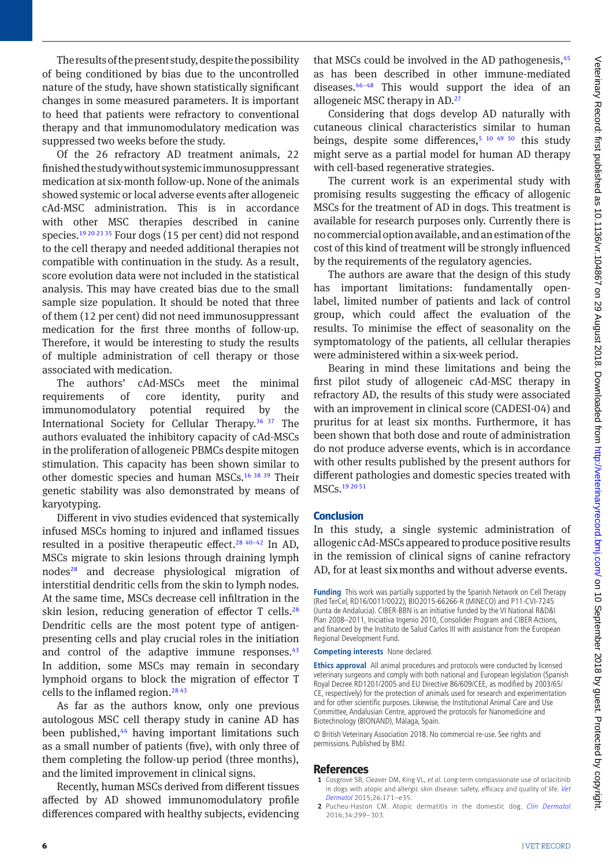The results of the present study, despite the possibility of being conditioned by bias due to the uncontrolled nature of the study, have shown statistically significant changes in some measured parameters. It is important to heed that patients were refractory to conventional therapy and that immunomodulatory medication was suppressed two weeks before the study.

Of the 26 refractory AD treatment animals, 22 finished the study without systemic immunosuppressant medication at six-month follow-up. None of the animals showed systemic or local adverse events after allogeneic cAd-MSC administration. This is in accordance with other MSC therapies described in canine species.[19 20 23 35](#page-6-6) Four dogs (15 per cent) did not respond to the cell therapy and needed additional therapies not compatible with continuation in the study. As a result, score evolution data were not included in the statistical analysis. This may have created bias due to the small sample size population. It should be noted that three of them (12 per cent) did not need immunosuppressant medication for the first three months of follow-up. Therefore, it would be interesting to study the results of multiple administration of cell therapy or those associated with medication.

The authors' cAd-MSCs meet the minimal requirements of core identity, purity and immunomodulatory potential required by the International Society for Cellular Therapy.[36 37](#page-6-14) The authors evaluated the inhibitory capacity of cAd-MSCs in the proliferation of allogeneic PBMCs despite mitogen stimulation. This capacity has been shown similar to other domestic species and human MSCs[.16 38 39](#page-6-4) Their genetic stability was also demonstrated by means of karyotyping.

Different in vivo studies evidenced that systemically infused MSCs homing to injured and inflamed tissues resulted in a positive therapeutic effect.<sup>28 40-42</sup> In AD, MSCs migrate to skin lesions through draining lymph node[s28](#page-6-15) and decrease physiological migration of interstitial dendritic cells from the skin to lymph nodes. At the same time, MSCs decrease cell infiltration in the skin lesion, reducing generation of effector  $T$  cells.<sup>[28](#page-6-15)</sup> Dendritic cells are the most potent type of antigenpresenting cells and play crucial roles in the initiation and control of the adaptive immune responses.<sup>[43](#page-6-16)</sup> In addition, some MSCs may remain in secondary lymphoid organs to block the migration of effector T cells to the inflamed region[.28 43](#page-6-15)

As far as the authors know, only one previous autologous MSC cell therapy study in canine AD has been published,<sup>44</sup> having important limitations such as a small number of patients (five), with only three of them completing the follow-up period (three months), and the limited improvement in clinical signs.

Recently, human MSCs derived from different tissues affected by AD showed immunomodulatory profile differences compared with healthy subjects, evidencing

that MSCs could be involved in the AD pathogenesis, 45 as has been described in other immune-mediated diseases[.46–48](#page-6-19) This would support the idea of an allogeneic MSC therapy in AD.<sup>27</sup>

Considering that dogs develop AD naturally with cutaneous clinical characteristics similar to human beings, despite some differences,<sup>[5 10 49 50](#page-6-20)</sup> this study might serve as a partial model for human AD therapy with cell-based regenerative strategies.

The current work is an experimental study with promising results suggesting the efficacy of allogenic MSCs for the treatment of AD in dogs. This treatment is available for research purposes only. Currently there is no commercial option available, and an estimation of the cost of this kind of treatment will be strongly influenced by the requirements of the regulatory agencies.

The authors are aware that the design of this study has important limitations: fundamentally openlabel, limited number of patients and lack of control group, which could affect the evaluation of the results. To minimise the effect of seasonality on the symptomatology of the patients, all cellular therapies were administered within a six-week period.

Bearing in mind these limitations and being the first pilot study of allogeneic cAd-MSC therapy in refractory AD, the results of this study were associated with an improvement in clinical score (CADESI-04) and pruritus for at least six months. Furthermore, it has been shown that both dose and route of administration do not produce adverse events, which is in accordance with other results published by the present authors for different pathologies and domestic species treated with MSCs[.19 20 51](#page-6-6)

# **Conclusion**

In this study, a single systemic administration of allogenic cAd-MSCs appeared to produce positive results in the remission of clinical signs of canine refractory AD, for at least six months and without adverse events.

**Funding** This work was partially supported by the Spanish Network on Cell Therapy (Red TerCel, RD16/0011/0022), BIO2015-66266-R (MINECO) and P11-CVI-7245 (Junta de Andalucia). CIBER-BBN is an initiative funded by the VI National R&D&I Plan 2008–2011, Iniciativa Ingenio 2010, Consolider Program and CIBER Actions, and financed by the Instituto de Salud Carlos III with assistance from the European Regional Development Fund.

**Competing interests** None declared.

**Ethics approval** All animal procedures and protocols were conducted by licensed veterinary surgeons and comply with both national and European legislation (Spanish Royal Decree RD1201/2005 and EU Directive 86/609/CEE, as modified by 2003/65/ CE, respectively) for the protection of animals used for research and experimentation and for other scientific purposes. Likewise, the Institutional Animal Care and Use Committee, Andalusian Centre, approved the protocols for Nanomedicine and Biotechnology (BIONAND), Málaga, Spain.

© British Veterinary Association 2018. No commercial re-use. See rights and permissions. Published by BMJ.

# **References**

- <span id="page-5-0"></span>**1** Cosgrove SB, Cleaver DM, King VL, *et al*. Long-term compassionate use of oclacitinib in dogs with atopic and allergic skin disease: safety, efficacy and quality of life. *[Vet](http://dx.doi.org/10.1111/vde.12194) [Dermatol](http://dx.doi.org/10.1111/vde.12194)* 2015;26:171–e35.
- <span id="page-5-1"></span>**2** Pucheu-Haston CM. Atopic dermatitis in the domestic dog. *[Clin Dermatol](http://dx.doi.org/10.1016/j.clindermatol.2015.10.010)* 2016;34:299–303.